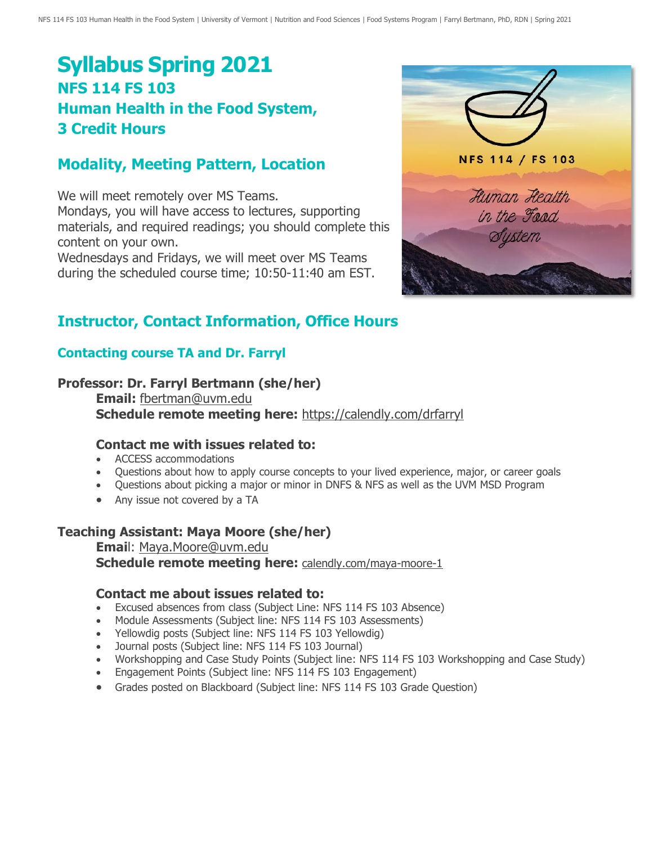# **Syllabus Spring 2021 NFS 114 FS 103 Human Health in the Food System, 3 Credit Hours**

## **Modality, Meeting Pattern, Location**

We will meet remotely over MS Teams. Mondays, you will have access to lectures, supporting materials, and required readings; you should complete this content on your own.

Wednesdays and Fridays, we will meet over MS Teams during the scheduled course time; 10:50-11:40 am EST.



# **Instructor, Contact Information, Office Hours**

### **Contacting course TA and Dr. Farryl**

#### **Professor: Dr. Farryl Bertmann (she/her)**

**Email:** [fbertman@uvm.edu](mailto:fbertman@uvm.edu) **Schedule remote meeting here:** <https://calendly.com/drfarryl>

#### **Contact me with issues related to:**

- ACCESS accommodations
- Questions about how to apply course concepts to your lived experience, major, or career goals
- Questions about picking a major or minor in DNFS & NFS as well as the UVM MSD Program
- Any issue not covered by a TA

#### **Teaching Assistant: Maya Moore (she/her)**

**Emai**l: [Maya.Moore@uvm.edu](mailto:Maya.Moore@uvm.edu) **Schedule remote meeting here:** [calendly.com/maya-moore-1](http://calendly.com/maya-moore-1)

#### **Contact me about issues related to:**

- Excused absences from class (Subject Line: NFS 114 FS 103 Absence)
- Module Assessments (Subject line: NFS 114 FS 103 Assessments)
- Yellowdig posts (Subject line: NFS 114 FS 103 Yellowdig)
- Journal posts (Subject line: NFS 114 FS 103 Journal)
- Workshopping and Case Study Points (Subject line: NFS 114 FS 103 Workshopping and Case Study)
- Engagement Points (Subject line: NFS 114 FS 103 Engagement)
- Grades posted on Blackboard (Subject line: NFS 114 FS 103 Grade Question)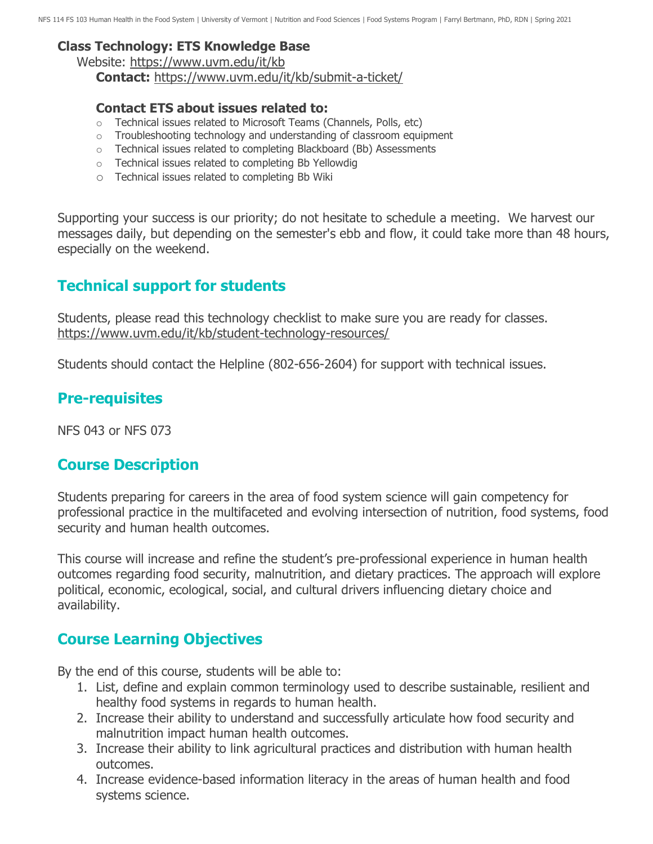#### **Class Technology: ETS Knowledge Base**

Website:<https://www.uvm.edu/it/kb> **Contact:** <https://www.uvm.edu/it/kb/submit-a-ticket/>

#### **Contact ETS about issues related to:**

- o Technical issues related to Microsoft Teams (Channels, Polls, etc)
- $\circ$  Troubleshooting technology and understanding of classroom equipment
- o Technical issues related to completing Blackboard (Bb) Assessments
- o Technical issues related to completing Bb Yellowdig
- o Technical issues related to completing Bb Wiki

Supporting your success is our priority; do not hesitate to schedule a meeting. We harvest our messages daily, but depending on the semester's ebb and flow, it could take more than 48 hours, especially on the weekend.

# **Technical support for students**

Students, please read this technology checklist to make sure you are ready for classes. <https://www.uvm.edu/it/kb/student-technology-resources/>

Students should contact the Helpline (802-656-2604) for support with technical issues.

## **Pre-requisites**

NFS 043 or NFS 073

## **Course Description**

Students preparing for careers in the area of food system science will gain competency for professional practice in the multifaceted and evolving intersection of nutrition, food systems, food security and human health outcomes.

This course will increase and refine the student's pre-professional experience in human health outcomes regarding food security, malnutrition, and dietary practices. The approach will explore political, economic, ecological, social, and cultural drivers influencing dietary choice and availability.

## **Course Learning Objectives**

By the end of this course, students will be able to:

- 1. List, define and explain common terminology used to describe sustainable, resilient and healthy food systems in regards to human health.
- 2. Increase their ability to understand and successfully articulate how food security and malnutrition impact human health outcomes.
- 3. Increase their ability to link agricultural practices and distribution with human health outcomes.
- 4. Increase evidence-based information literacy in the areas of human health and food systems science.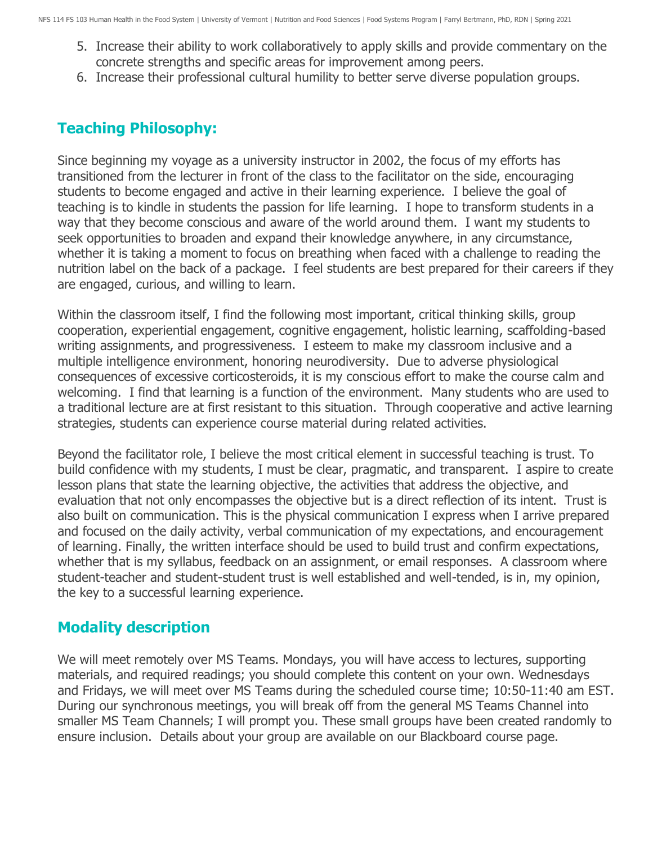- 5. Increase their ability to work collaboratively to apply skills and provide commentary on the concrete strengths and specific areas for improvement among peers.
- 6. Increase their professional cultural humility to better serve diverse population groups.

## **Teaching Philosophy:**

Since beginning my voyage as a university instructor in 2002, the focus of my efforts has transitioned from the lecturer in front of the class to the facilitator on the side, encouraging students to become engaged and active in their learning experience. I believe the goal of teaching is to kindle in students the passion for life learning. I hope to transform students in a way that they become conscious and aware of the world around them. I want my students to seek opportunities to broaden and expand their knowledge anywhere, in any circumstance, whether it is taking a moment to focus on breathing when faced with a challenge to reading the nutrition label on the back of a package. I feel students are best prepared for their careers if they are engaged, curious, and willing to learn.

Within the classroom itself, I find the following most important, critical thinking skills, group cooperation, experiential engagement, cognitive engagement, holistic learning, scaffolding-based writing assignments, and progressiveness. I esteem to make my classroom inclusive and a multiple intelligence environment, honoring neurodiversity. Due to adverse physiological consequences of excessive corticosteroids, it is my conscious effort to make the course calm and welcoming. I find that learning is a function of the environment. Many students who are used to a traditional lecture are at first resistant to this situation. Through cooperative and active learning strategies, students can experience course material during related activities.

Beyond the facilitator role, I believe the most critical element in successful teaching is trust. To build confidence with my students, I must be clear, pragmatic, and transparent. I aspire to create lesson plans that state the learning objective, the activities that address the objective, and evaluation that not only encompasses the objective but is a direct reflection of its intent. Trust is also built on communication. This is the physical communication I express when I arrive prepared and focused on the daily activity, verbal communication of my expectations, and encouragement of learning. Finally, the written interface should be used to build trust and confirm expectations, whether that is my syllabus, feedback on an assignment, or email responses. A classroom where student-teacher and student-student trust is well established and well-tended, is in, my opinion, the key to a successful learning experience.

## **Modality description**

We will meet remotely over MS Teams. Mondays, you will have access to lectures, supporting materials, and required readings; you should complete this content on your own. Wednesdays and Fridays, we will meet over MS Teams during the scheduled course time; 10:50-11:40 am EST. During our synchronous meetings, you will break off from the general MS Teams Channel into smaller MS Team Channels; I will prompt you. These small groups have been created randomly to ensure inclusion. Details about your group are available on our Blackboard course page.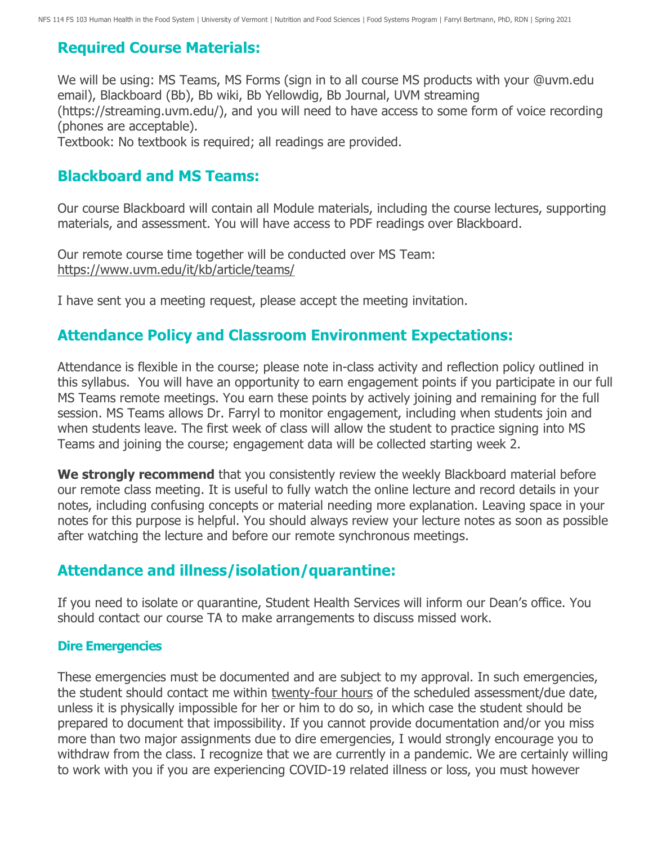# **Required Course Materials:**

We will be using: MS Teams, MS Forms (sign in to all course MS products with your @uvm.edu email), Blackboard (Bb), Bb wiki, Bb Yellowdig, Bb Journal, UVM streaming (https://streaming.uvm.edu/), and you will need to have access to some form of voice recording (phones are acceptable).

Textbook: No textbook is required; all readings are provided.

## **Blackboard and MS Teams:**

Our course Blackboard will contain all Module materials, including the course lectures, supporting materials, and assessment. You will have access to PDF readings over Blackboard.

Our remote course time together will be conducted over MS Team: <https://www.uvm.edu/it/kb/article/teams/>

I have sent you a meeting request, please accept the meeting invitation.

# **Attendance Policy and Classroom Environment Expectations:**

Attendance is flexible in the course; please note in-class activity and reflection policy outlined in this syllabus. You will have an opportunity to earn engagement points if you participate in our full MS Teams remote meetings. You earn these points by actively joining and remaining for the full session. MS Teams allows Dr. Farryl to monitor engagement, including when students join and when students leave. The first week of class will allow the student to practice signing into MS Teams and joining the course; engagement data will be collected starting week 2.

We strongly recommend that you consistently review the weekly Blackboard material before our remote class meeting. It is useful to fully watch the online lecture and record details in your notes, including confusing concepts or material needing more explanation. Leaving space in your notes for this purpose is helpful. You should always review your lecture notes as soon as possible after watching the lecture and before our remote synchronous meetings.

## **Attendance and illness/isolation/quarantine:**

If you need to isolate or quarantine, Student Health Services will inform our Dean's office. You should contact our course TA to make arrangements to discuss missed work.

#### **Dire Emergencies**

These emergencies must be documented and are subject to my approval. In such emergencies, the student should contact me within twenty-four hours of the scheduled assessment/due date, unless it is physically impossible for her or him to do so, in which case the student should be prepared to document that impossibility. If you cannot provide documentation and/or you miss more than two major assignments due to dire emergencies, I would strongly encourage you to withdraw from the class. I recognize that we are currently in a pandemic. We are certainly willing to work with you if you are experiencing COVID-19 related illness or loss, you must however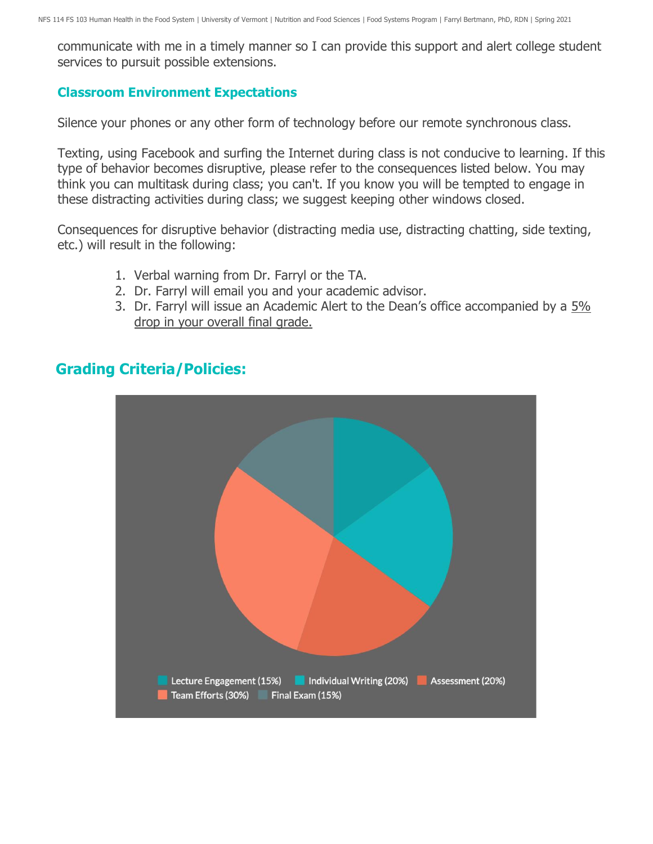communicate with me in a timely manner so I can provide this support and alert college student services to pursuit possible extensions.

#### **Classroom Environment Expectations**

Silence your phones or any other form of technology before our remote synchronous class.

Texting, using Facebook and surfing the Internet during class is not conducive to learning. If this type of behavior becomes disruptive, please refer to the consequences listed below. You may think you can multitask during class; you can't. If you know you will be tempted to engage in these distracting activities during class; we suggest keeping other windows closed.

Consequences for disruptive behavior (distracting media use, distracting chatting, side texting, etc.) will result in the following:

- 1. Verbal warning from Dr. Farryl or the TA.
- 2. Dr. Farryl will email you and your academic advisor.
- 3. Dr. Farryl will issue an Academic Alert to the Dean's office accompanied by a 5% drop in your overall final grade.

# **Grading Criteria/Policies:**

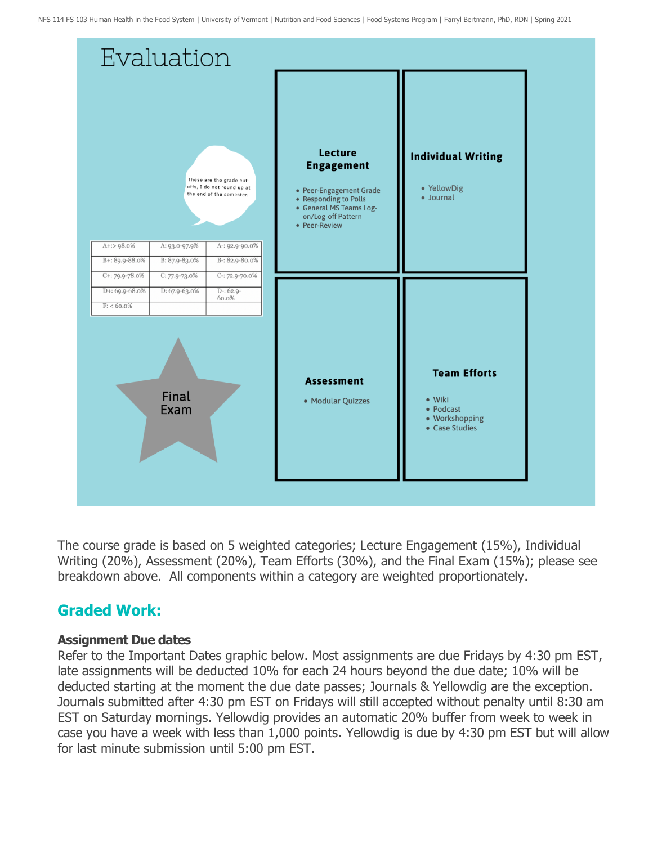

The course grade is based on 5 weighted categories; Lecture Engagement (15%), Individual Writing (20%), Assessment (20%), Team Efforts (30%), and the Final Exam (15%); please see breakdown above. All components within a category are weighted proportionately.

# **Graded Work:**

#### **Assignment Due dates**

Refer to the Important Dates graphic below. Most assignments are due Fridays by 4:30 pm EST, late assignments will be deducted 10% for each 24 hours beyond the due date; 10% will be deducted starting at the moment the due date passes; Journals & Yellowdig are the exception. Journals submitted after 4:30 pm EST on Fridays will still accepted without penalty until 8:30 am EST on Saturday mornings. Yellowdig provides an automatic 20% buffer from week to week in case you have a week with less than 1,000 points. Yellowdig is due by 4:30 pm EST but will allow for last minute submission until 5:00 pm EST.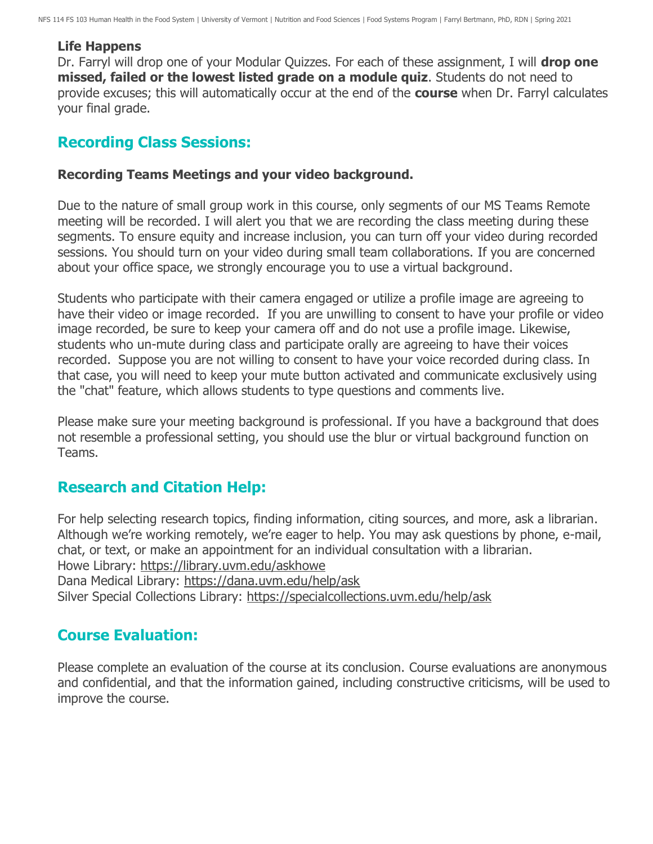#### **Life Happens**

Dr. Farryl will drop one of your Modular Quizzes. For each of these assignment, I will **drop one missed, failed or the lowest listed grade on a module quiz**. Students do not need to provide excuses; this will automatically occur at the end of the **course** when Dr. Farryl calculates your final grade.

## **Recording Class Sessions:**

#### **Recording Teams Meetings and your video background.**

Due to the nature of small group work in this course, only segments of our MS Teams Remote meeting will be recorded. I will alert you that we are recording the class meeting during these segments. To ensure equity and increase inclusion, you can turn off your video during recorded sessions. You should turn on your video during small team collaborations. If you are concerned about your office space, we strongly encourage you to use a virtual background.

Students who participate with their camera engaged or utilize a profile image are agreeing to have their video or image recorded. If you are unwilling to consent to have your profile or video image recorded, be sure to keep your camera off and do not use a profile image. Likewise, students who un-mute during class and participate orally are agreeing to have their voices recorded. Suppose you are not willing to consent to have your voice recorded during class. In that case, you will need to keep your mute button activated and communicate exclusively using the "chat" feature, which allows students to type questions and comments live.

Please make sure your meeting background is professional. If you have a background that does not resemble a professional setting, you should use the blur or virtual background function on Teams.

## **Research and Citation Help:**

For help selecting research topics, finding information, citing sources, and more, ask a librarian. Although we're working remotely, we're eager to help. You may ask questions by phone, e-mail, chat, or text, or make an appointment for an individual consultation with a librarian. Howe Library:<https://library.uvm.edu/askhowe> Dana Medical Library:<https://dana.uvm.edu/help/ask> Silver Special Collections Library:<https://specialcollections.uvm.edu/help/ask>

## **Course Evaluation:**

Please complete an evaluation of the course at its conclusion. Course evaluations are anonymous and confidential, and that the information gained, including constructive criticisms, will be used to improve the course.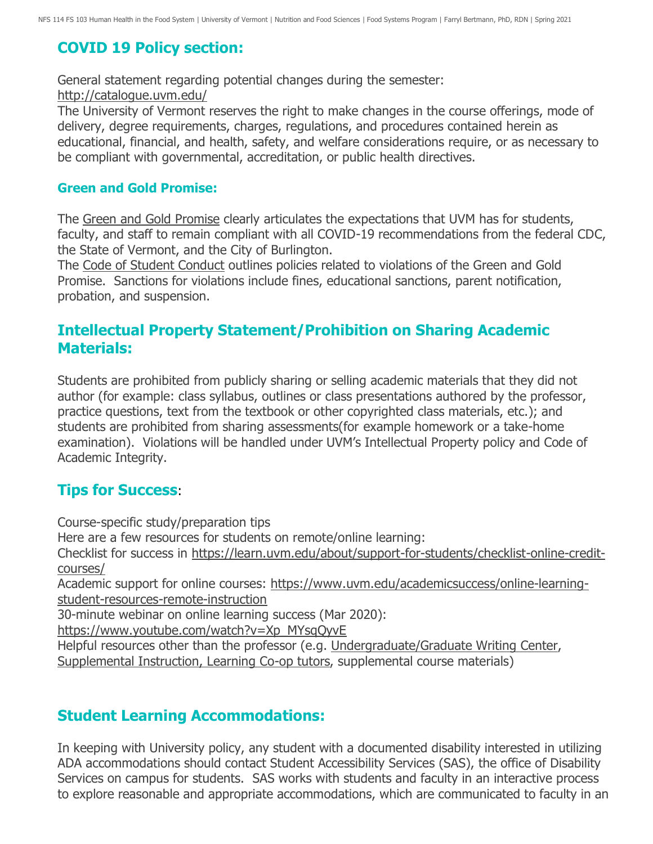# **COVID 19 Policy section:**

General statement regarding potential changes during the semester: <http://catalogue.uvm.edu/>

The University of Vermont reserves the right to make changes in the course offerings, mode of delivery, degree requirements, charges, regulations, and procedures contained herein as educational, financial, and health, safety, and welfare considerations require, or as necessary to be compliant with governmental, accreditation, or public health directives.

#### **Green and Gold Promise:**

The [Green and Gold Promise](https://www.uvm.edu/deanofstudents/green-and-gold-promise) clearly articulates the expectations that UVM has for students, faculty, and staff to remain compliant with all COVID-19 recommendations from the federal CDC, the State of Vermont, and the City of Burlington.

The [Code of Student Conduct](https://www.uvm.edu/sites/default/files/UVM-Policies/policies/studentcode.pdf) outlines policies related to violations of the Green and Gold Promise. Sanctions for violations include fines, educational sanctions, parent notification, probation, and suspension.

## **Intellectual Property Statement/Prohibition on Sharing Academic Materials:**

Students are prohibited from publicly sharing or selling academic materials that they did not author (for example: class syllabus, outlines or class presentations authored by the professor, practice questions, text from the textbook or other copyrighted class materials, etc.); and students are prohibited from sharing assessments(for example homework or a take-home examination). Violations will be handled under UVM's Intellectual Property policy and Code of Academic Integrity.

## **Tips for Success**:

Course-specific study/preparation tips Here are a few resources for students on remote/online learning: Checklist for success in [https://learn.uvm.edu/about/support-for-students/checklist-online-credit](https://learn.uvm.edu/about/support-for-students/checklist-online-credit-courses/)[courses/](https://learn.uvm.edu/about/support-for-students/checklist-online-credit-courses/) Academic support for online courses: [https://www.uvm.edu/academicsuccess/online-learning](https://www.uvm.edu/academicsuccess/online-learning-student-resources-remote-instruction)[student-resources-remote-instruction](https://www.uvm.edu/academicsuccess/online-learning-student-resources-remote-instruction) 30-minute webinar on online learning success (Mar 2020): [https://www.youtube.com/watch?v=Xp\\_MYsqQyvE](https://www.youtube.com/watch?v=Xp_MYsqQyvE) Helpful resources other than the professor (e.g. [Undergraduate/Graduate Writing Center,](https://www.uvm.edu/uwi/writingcenter) [Supplemental Instruction, Learning Co-op tutors,](https://www.uvm.edu/academicsuccess/tutoring_center) supplemental course materials)

# **Student Learning Accommodations:**

In keeping with University policy, any student with a documented disability interested in utilizing ADA accommodations should contact Student Accessibility Services (SAS), the office of Disability Services on campus for students. SAS works with students and faculty in an interactive process to explore reasonable and appropriate accommodations, which are communicated to faculty in an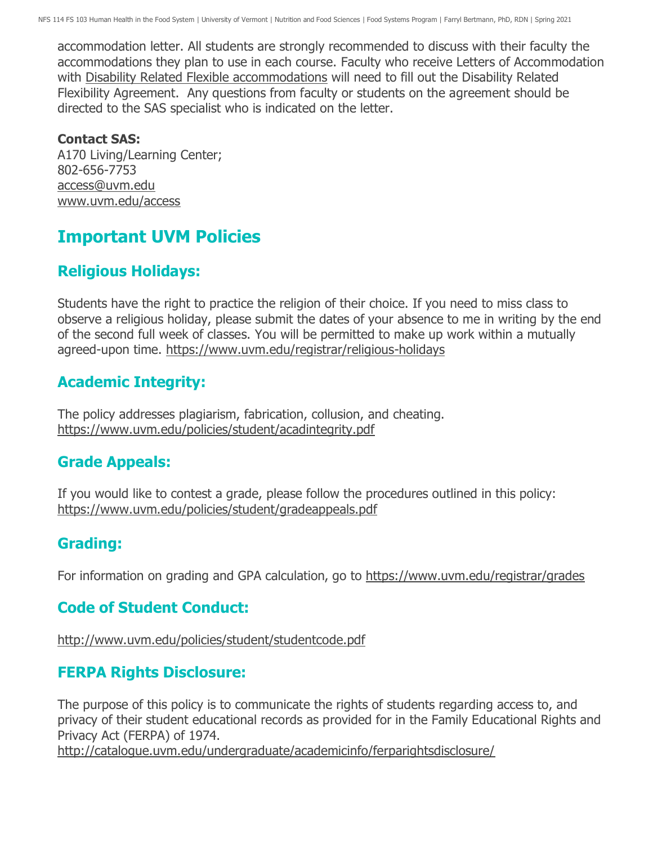accommodation letter. All students are strongly recommended to discuss with their faculty the accommodations they plan to use in each course. Faculty who receive Letters of Accommodation with [Disability Related Flexible accommodations](https://www.uvm.edu/academicsuccess/forms/disability-related-flexibility-agreement) will need to fill out the Disability Related Flexibility Agreement. Any questions from faculty or students on the agreement should be directed to the SAS specialist who is indicated on the letter.

#### **Contact SAS:**

A170 Living/Learning Center; 802-656-7753 [access@uvm.edu](mailto:access@uvm.edu) [www.uvm.edu/access](http://www.uvm.edu/access)

# **Important UVM Policies**

# **Religious Holidays:**

Students have the right to practice the religion of their choice. If you need to miss class to observe a religious holiday, please submit the dates of your absence to me in writing by the end of the second full week of classes. You will be permitted to make up work within a mutually agreed-upon time.<https://www.uvm.edu/registrar/religious-holidays>

# **Academic Integrity:**

The policy addresses plagiarism, fabrication, collusion, and cheating. <https://www.uvm.edu/policies/student/acadintegrity.pdf>

# **Grade Appeals:**

If you would like to contest a grade, please follow the procedures outlined in this policy: <https://www.uvm.edu/policies/student/gradeappeals.pdf>

# **Grading:**

For information on grading and GPA calculation, go to <https://www.uvm.edu/registrar/grades>

# **Code of Student Conduct:**

<http://www.uvm.edu/policies/student/studentcode.pdf>

# **FERPA Rights Disclosure:**

The purpose of this policy is to communicate the rights of students regarding access to, and privacy of their student educational records as provided for in the Family Educational Rights and Privacy Act (FERPA) of 1974.

<http://catalogue.uvm.edu/undergraduate/academicinfo/ferparightsdisclosure/>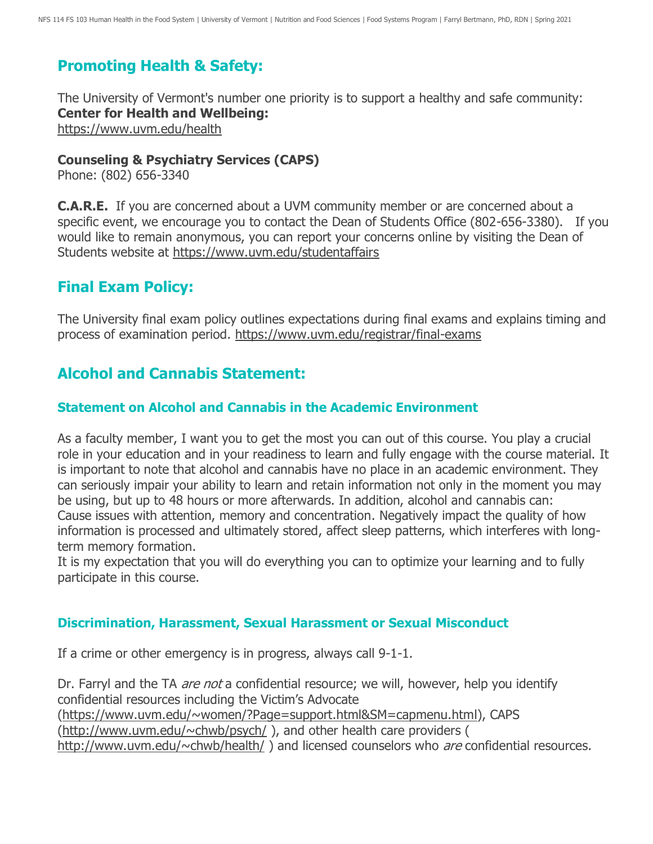# **Promoting Health & Safety:**

The University of Vermont's number one priority is to support a healthy and safe community: **Center for Health and Wellbeing:** <https://www.uvm.edu/health>

#### **Counseling & Psychiatry Services (CAPS)**

Phone: (802) 656-3340

**C.A.R.E.** If you are concerned about a UVM community member or are concerned about a specific event, we encourage you to contact the Dean of Students Office (802-656-3380). If you would like to remain anonymous, you can report your concerns online by visiting the Dean of Students website at <https://www.uvm.edu/studentaffairs>

## **Final Exam Policy:**

The University final exam policy outlines expectations during final exams and explains timing and process of examination period. <https://www.uvm.edu/registrar/final-exams>

## **Alcohol and Cannabis Statement:**

#### **Statement on Alcohol and Cannabis in the Academic Environment**

As a faculty member, I want you to get the most you can out of this course. You play a crucial role in your education and in your readiness to learn and fully engage with the course material. It is important to note that alcohol and cannabis have no place in an academic environment. They can seriously impair your ability to learn and retain information not only in the moment you may be using, but up to 48 hours or more afterwards. In addition, alcohol and cannabis can: Cause issues with attention, memory and concentration. Negatively impact the quality of how information is processed and ultimately stored, affect sleep patterns, which interferes with longterm memory formation.

It is my expectation that you will do everything you can to optimize your learning and to fully participate in this course.

#### **Discrimination, Harassment, Sexual Harassment or Sexual Misconduct**

If a crime or other emergency is in progress, always call 9-1-1.

Dr. Farryl and the TA *are not* a confidential resource; we will, however, help you identify confidential resources including the Victim's Advocate [\(https://www.uvm.edu/~women/?Page=support.html&SM=capmenu.html\)](https://www.uvm.edu/~women/?Page=support.html&SM=capmenu.html), CAPS [\(http://www.uvm.edu/~chwb/psych/](http://www.uvm.edu/~chwb/psych/) ), and other health care providers ( <http://www.uvm.edu/~chwb/health/>) and licensed counselors who are confidential resources.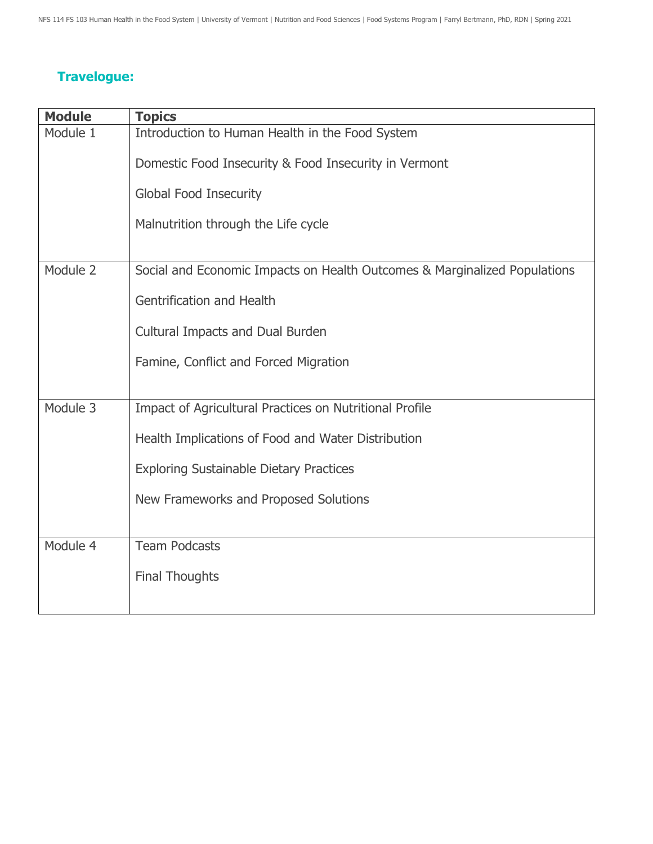# **Travelogue:**

| <b>Module</b> | <b>Topics</b>                                                             |
|---------------|---------------------------------------------------------------------------|
| Module 1      | Introduction to Human Health in the Food System                           |
|               | Domestic Food Insecurity & Food Insecurity in Vermont                     |
|               | <b>Global Food Insecurity</b>                                             |
|               | Malnutrition through the Life cycle                                       |
|               |                                                                           |
| Module 2      | Social and Economic Impacts on Health Outcomes & Marginalized Populations |
|               | Gentrification and Health                                                 |
|               | <b>Cultural Impacts and Dual Burden</b>                                   |
|               | Famine, Conflict and Forced Migration                                     |
|               |                                                                           |
| Module 3      | Impact of Agricultural Practices on Nutritional Profile                   |
|               | Health Implications of Food and Water Distribution                        |
|               | <b>Exploring Sustainable Dietary Practices</b>                            |
|               | New Frameworks and Proposed Solutions                                     |
|               |                                                                           |
| Module 4      | <b>Team Podcasts</b>                                                      |
|               | <b>Final Thoughts</b>                                                     |
|               |                                                                           |